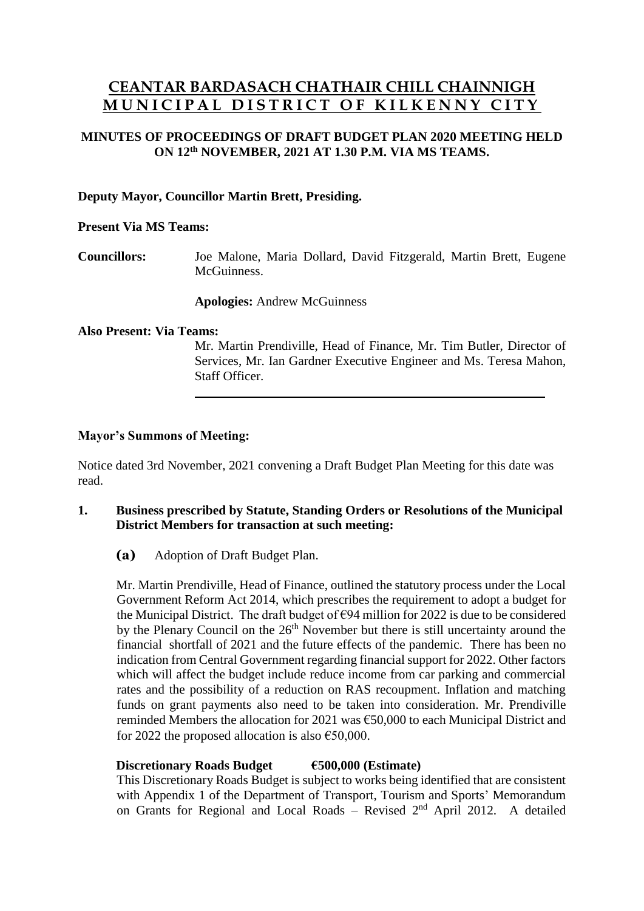# **CEANTAR BARDASACH CHATHAIR CHILL CHAINNIGH M U N I C I P A L D I S T R I C T O F K I L K E N N Y C I T Y**

## **MINUTES OF PROCEEDINGS OF DRAFT BUDGET PLAN 2020 MEETING HELD ON 12 th NOVEMBER, 2021 AT 1.30 P.M. VIA MS TEAMS.**

## **Deputy Mayor, Councillor Martin Brett, Presiding.**

#### **Present Via MS Teams:**

**Councillors:** Joe Malone, Maria Dollard, David Fitzgerald, Martin Brett, Eugene **McGuinness** 

**Apologies:** Andrew McGuinness

#### **Also Present: Via Teams:**

Mr. Martin Prendiville, Head of Finance, Mr. Tim Butler, Director of Services, Mr. Ian Gardner Executive Engineer and Ms. Teresa Mahon, Staff Officer.

## **Mayor's Summons of Meeting:**

Notice dated 3rd November, 2021 convening a Draft Budget Plan Meeting for this date was read.

## **1. Business prescribed by Statute, Standing Orders or Resolutions of the Municipal District Members for transaction at such meeting:**

**(a)** Adoption of Draft Budget Plan.

Mr. Martin Prendiville, Head of Finance, outlined the statutory process under the Local Government Reform Act 2014, which prescribes the requirement to adopt a budget for the Municipal District. The draft budget of  $\epsilon$ 94 million for 2022 is due to be considered by the Plenary Council on the  $26<sup>th</sup>$  November but there is still uncertainty around the financial shortfall of 2021 and the future effects of the pandemic. There has been no indication from Central Government regarding financial support for 2022. Other factors which will affect the budget include reduce income from car parking and commercial rates and the possibility of a reduction on RAS recoupment. Inflation and matching funds on grant payments also need to be taken into consideration. Mr. Prendiville reminded Members the allocation for 2021 was €50,000 to each Municipal District and for 2022 the proposed allocation is also  $\epsilon$ 50,000.

#### **Discretionary Roads Budget €500,000 (Estimate)**

This Discretionary Roads Budget is subject to works being identified that are consistent with Appendix 1 of the Department of Transport, Tourism and Sports' Memorandum on Grants for Regional and Local Roads – Revised 2nd April 2012. A detailed